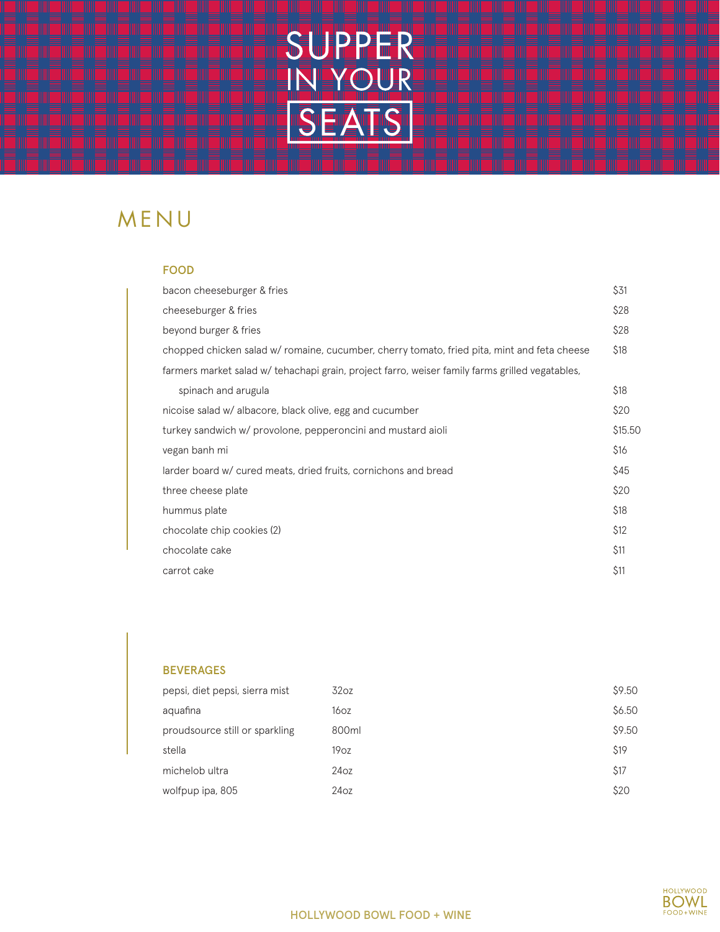

## MENU

#### FOOD

| bacon cheeseburger & fries                                                                      | \$31    |
|-------------------------------------------------------------------------------------------------|---------|
| cheeseburger & fries                                                                            | \$28    |
| beyond burger & fries                                                                           | \$28    |
| chopped chicken salad w/ romaine, cucumber, cherry tomato, fried pita, mint and feta cheese     | \$18    |
| farmers market salad w/ tehachapi grain, project farro, weiser family farms grilled vegatables, |         |
| spinach and arugula                                                                             | \$18    |
| nicoise salad w/ albacore, black olive, egg and cucumber                                        | \$20    |
| turkey sandwich w/ provolone, pepperoncini and mustard aioli                                    | \$15.50 |
| vegan banh mi                                                                                   | \$16    |
| larder board w/ cured meats, dried fruits, cornichons and bread                                 | \$45    |
| three cheese plate                                                                              | \$20    |
| hummus plate                                                                                    | \$18    |
| chocolate chip cookies (2)                                                                      | \$12    |
| chocolate cake                                                                                  | \$11    |
| carrot cake                                                                                     | \$11    |

### BEVERAGES

| pepsi, diet pepsi, sierra mist | 32oz             | \$9.50 |
|--------------------------------|------------------|--------|
| aquafina                       | 16 <sub>OZ</sub> | \$6.50 |
| proudsource still or sparkling | 800ml            | \$9.50 |
| stella                         | 19 <sub>oz</sub> | \$19   |
| michelob ultra                 | 24oz             | \$17   |
| wolfpup ipa, 805               | 24oz             | \$20   |

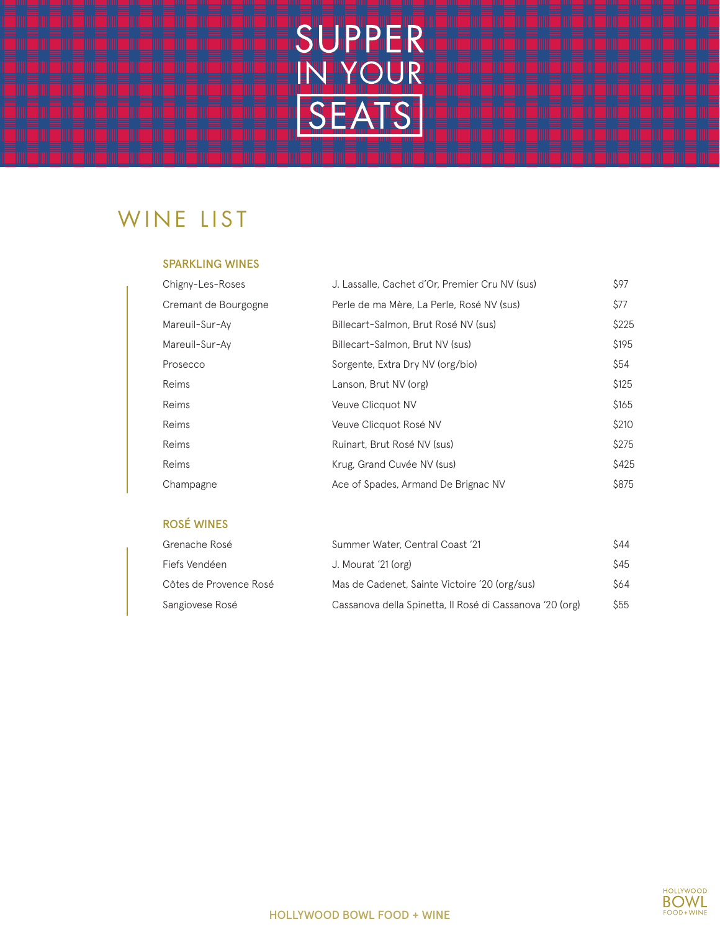

# WINE LIST

#### SPARKLING WINES

| Chigny-Les-Roses     | J. Lassalle, Cachet d'Or, Premier Cru NV (sus) | \$97  |
|----------------------|------------------------------------------------|-------|
| Cremant de Bourgogne | Perle de ma Mère, La Perle, Rosé NV (sus)      | \$77  |
| Mareuil-Sur-Ay       | Billecart-Salmon, Brut Rosé NV (sus)           | \$225 |
| Mareuil-Sur-Ay       | Billecart-Salmon, Brut NV (sus)                | \$195 |
| Prosecco             | Sorgente, Extra Dry NV (org/bio)               | \$54  |
| Reims                | Lanson, Brut NV (org)                          | \$125 |
| Reims                | Veuve Clicquot NV                              | \$165 |
| Reims                | Veuve Clicquot Rosé NV                         | \$210 |
| Reims                | Ruinart, Brut Rosé NV (sus)                    | \$275 |
| Reims                | Krug, Grand Cuvée NV (sus)                     | \$425 |
| Champagne            | Ace of Spades, Armand De Brignac NV            | \$875 |

### ROSÉ WINES

| Grenache Rosé          | Summer Water, Central Coast '21                          | \$44        |
|------------------------|----------------------------------------------------------|-------------|
| Fiefs Vendéen          | J. Mourat '21 (org)                                      | \$45        |
| Côtes de Provence Rosé | Mas de Cadenet, Sainte Victoire '20 (org/sus)            | \$64        |
| Sangiovese Rosé        | Cassanova della Spinetta, Il Rosé di Cassanova '20 (org) | <b>\$55</b> |

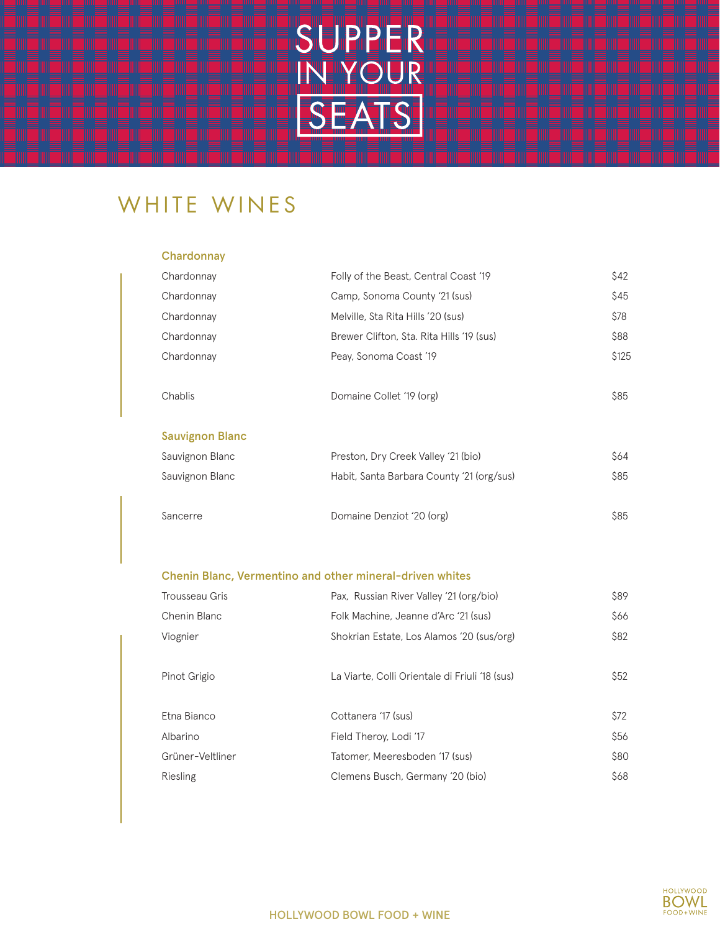

## WHITE WINES

### **Chardonnay**

| Chardonnay             | Folly of the Beast, Central Coast '19     | \$42  |
|------------------------|-------------------------------------------|-------|
| Chardonnay             | Camp, Sonoma County '21 (sus)             | \$45  |
| Chardonnay             | Melville, Sta Rita Hills '20 (sus)        | \$78  |
| Chardonnay             | Brewer Clifton, Sta. Rita Hills '19 (sus) | \$88  |
| Chardonnay             | Peay, Sonoma Coast '19                    | \$125 |
|                        |                                           |       |
| Chablis                | Domaine Collet '19 (org)                  | \$85  |
|                        |                                           |       |
| <b>Sauvignon Blanc</b> |                                           |       |
| Sauvignon Blanc        | Preston, Dry Creek Valley '21 (bio)       | \$64  |
| Sauvignon Blanc        | Habit, Santa Barbara County '21 (org/sus) | \$85  |
|                        |                                           |       |
| Sancerre               | Domaine Denziot '20 (org)                 | \$85  |
|                        |                                           |       |

### Chenin Blanc, Vermentino and other mineral-driven whites

| Trousseau Gris   | Pax, Russian River Valley '21 (org/bio)        | <b>\$89</b> |
|------------------|------------------------------------------------|-------------|
| Chenin Blanc     | Folk Machine, Jeanne d'Arc '21 (sus)           | \$66        |
| Viognier         | Shokrian Estate, Los Alamos '20 (sus/org)      | \$82        |
| Pinot Grigio     | La Viarte, Colli Orientale di Friuli '18 (sus) | \$52        |
| Etna Bianco      | Cottanera '17 (sus)                            | \$72        |
| Albarino         | Field Theroy, Lodi '17                         | \$56        |
| Grüner-Veltliner | Tatomer, Meeresboden '17 (sus)                 | \$80        |
| Riesling         | Clemens Busch, Germany '20 (bio)               | \$68        |

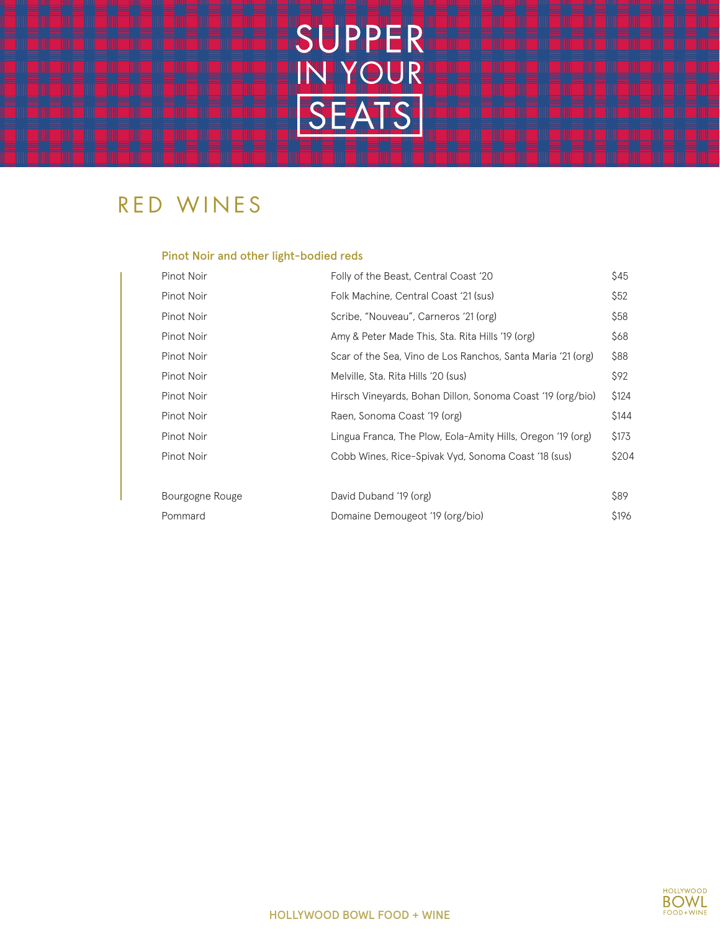

## RED WINES

### Pinot Noir and other light-bodied reds

| Pinot Noir      | Folly of the Beast, Central Coast '20                       | \$45  |
|-----------------|-------------------------------------------------------------|-------|
| Pinot Noir      | Folk Machine, Central Coast '21 (sus)                       | \$52  |
| Pinot Noir      | Scribe, "Nouveau", Carneros '21 (org)                       | \$58  |
| Pinot Noir      | Amy & Peter Made This, Sta. Rita Hills '19 (org)            | \$68  |
| Pinot Noir      | Scar of the Sea, Vino de Los Ranchos, Santa Maria '21 (org) | \$88  |
| Pinot Noir      | Melville, Sta. Rita Hills '20 (sus)                         | \$92  |
| Pinot Noir      | Hirsch Vineyards, Bohan Dillon, Sonoma Coast '19 (org/bio)  | \$124 |
| Pinot Noir      | Raen, Sonoma Coast '19 (org)                                | \$144 |
| Pinot Noir      | Lingua Franca, The Plow, Eola-Amity Hills, Oregon '19 (org) | \$173 |
| Pinot Noir      | Cobb Wines, Rice-Spivak Vyd, Sonoma Coast '18 (sus)         | \$204 |
|                 |                                                             |       |
| Bourgogne Rouge | David Duband '19 (org)                                      | \$89  |
| Pommard         | Domaine Demougeot '19 (org/bio)                             | \$196 |

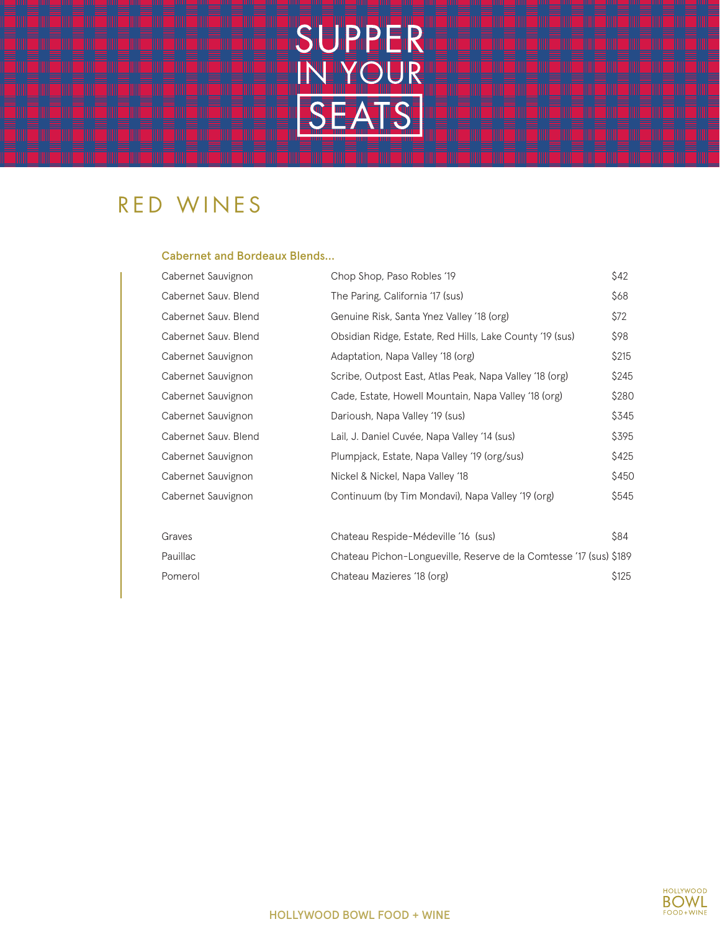

### RED WINES

#### Cabernet and Bordeaux Blends…

| Cabernet Sauvignon   | Chop Shop, Paso Robles '19                                         | \$42  |
|----------------------|--------------------------------------------------------------------|-------|
| Cabernet Sauv. Blend | The Paring, California '17 (sus)                                   | \$68  |
| Cabernet Sauv. Blend | Genuine Risk, Santa Ynez Valley '18 (org)                          | \$72  |
| Cabernet Sauv. Blend | Obsidian Ridge, Estate, Red Hills, Lake County '19 (sus)           | \$98  |
| Cabernet Sauvignon   | Adaptation, Napa Valley '18 (org)                                  | \$215 |
| Cabernet Sauvignon   | Scribe, Outpost East, Atlas Peak, Napa Valley '18 (org)            | \$245 |
| Cabernet Sauvignon   | Cade, Estate, Howell Mountain, Napa Valley '18 (org)               | \$280 |
| Cabernet Sauvignon   | Darioush, Napa Valley '19 (sus)                                    | \$345 |
| Cabernet Sauv. Blend | Lail, J. Daniel Cuvée, Napa Valley '14 (sus)                       | \$395 |
| Cabernet Sauvignon   | Plumpjack, Estate, Napa Valley '19 (org/sus)                       | \$425 |
| Cabernet Sauvignon   | Nickel & Nickel, Napa Valley '18                                   | \$450 |
| Cabernet Sauvignon   | Continuum (by Tim Mondavi), Napa Valley '19 (org)                  | \$545 |
|                      |                                                                    |       |
| Graves               | Chateau Respide-Médeville '16 (sus)                                | \$84  |
| Pauillac             | Chateau Pichon-Longueville, Reserve de la Comtesse '17 (sus) \$189 |       |
| Pomerol              | Chateau Mazieres '18 (org)                                         | \$125 |